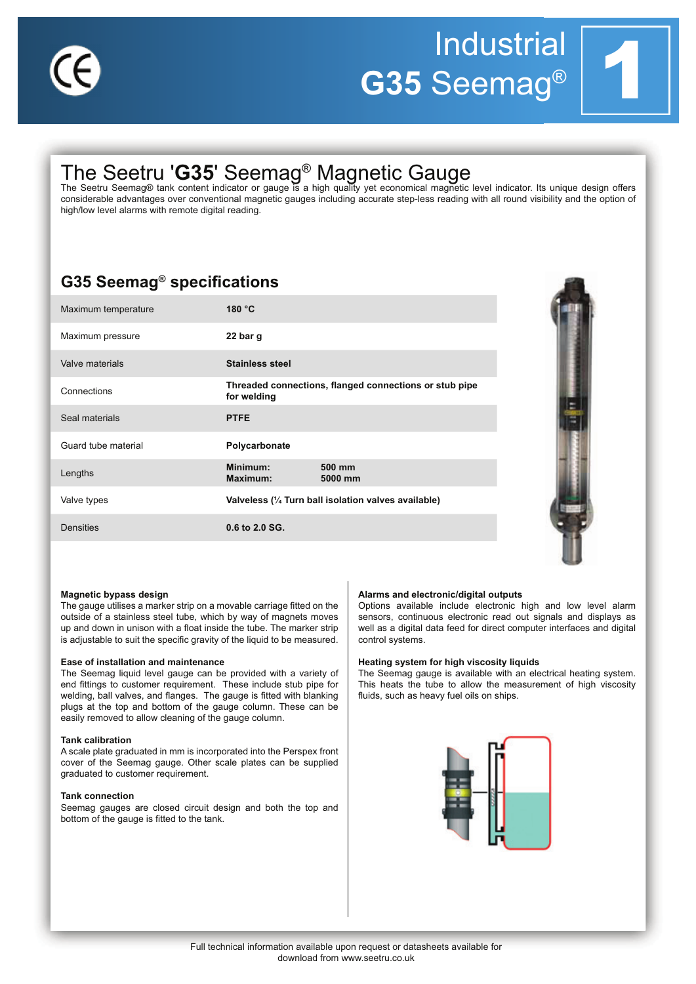

# **Industrial** G35 Seemag®

## The Seetru 'G35' Seemag<sup>®</sup> Magnetic Gauge<br>The Seetru Seemag® tank content indicator or gauge is a high quality yet economical magnetic level indicator. Its unique design offers

considerable advantages over conventional magnetic gauges including accurate step-less reading with all round visibility and the option of high/low level alarms with remote digital reading.

### **G35 Seemag<sup>®</sup> specifications**

| Maximum temperature | 180 °C                                                                |                   |
|---------------------|-----------------------------------------------------------------------|-------------------|
| Maximum pressure    | 22 bar g                                                              |                   |
| Valve materials     | <b>Stainless steel</b>                                                |                   |
| Connections         | Threaded connections, flanged connections or stub pipe<br>for welding |                   |
| Seal materials      | <b>PTFE</b>                                                           |                   |
| Guard tube material | Polycarbonate                                                         |                   |
| Lengths             | Minimum:<br>Maximum:                                                  | 500 mm<br>5000 mm |
| Valve types         | Valveless (1/4 Turn ball isolation valves available)                  |                   |
| <b>Densities</b>    | 0.6 to 2.0 SG.                                                        |                   |



### Magnetic bypass design

The gauge utilises a marker strip on a movable carriage fitted on the outside of a stainless steel tube, which by way of magnets moves up and down in unison with a float inside the tube. The marker strip is adjustable to suit the specific gravity of the liquid to be measured.

### Ease of installation and maintenance

The Seemag liquid level gauge can be provided with a variety of end fittings to customer requirement. These include stub pipe for welding, ball valves, and flanges. The gauge is fitted with blanking plugs at the top and bottom of the gauge column. These can be easily removed to allow cleaning of the gauge column.

### **Tank calibration**

A scale plate graduated in mm is incorporated into the Perspex front cover of the Seemag gauge. Other scale plates can be supplied graduated to customer requirement.

### **Tank connection**

Seemag gauges are closed circuit design and both the top and bottom of the gauge is fitted to the tank.

### Alarms and electronic/digital outputs

Options available include electronic high and low level alarm sensors, continuous electronic read out signals and displays as well as a digital data feed for direct computer interfaces and digital control systems.

### Heating system for high viscosity liquids

The Seemag gauge is available with an electrical heating system. This heats the tube to allow the measurement of high viscosity fluids, such as heavy fuel oils on ships.